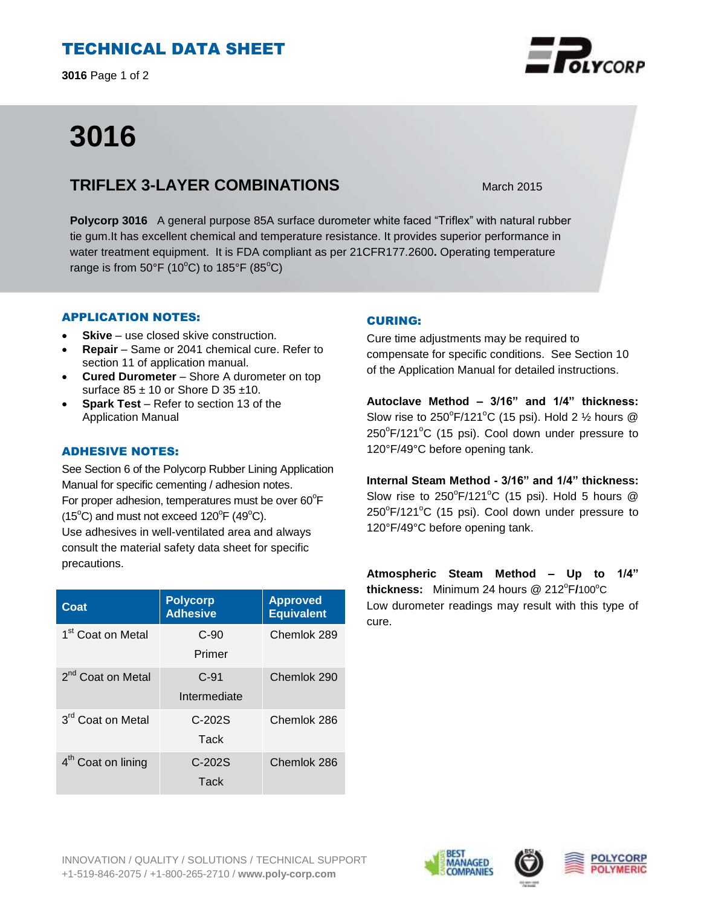# TECHNICAL DATA SHEET

**3016** Page 1 of 2

# **3016**

## **TRIFLEX 3-LAYER COMBINATIONS** March 2015

**Polycorp 3016** A general purpose 85A surface durometer white faced "Triflex" with natural rubber tie gum.It has excellent chemical and temperature resistance. It provides superior performance in water treatment equipment. It is FDA compliant as per 21CFR177.2600**.** Operating temperature range is from  $50^{\circ}$ F (10<sup>o</sup>C) to 185 $^{\circ}$ F (85<sup>o</sup>C)

## APPLICATION NOTES:

- **Skive** use closed skive construction.
- **Repair**  Same or 2041 chemical cure. Refer to section 11 of application manual.
- **Cured Durometer**  Shore A durometer on top surface  $85 \pm 10$  or Shore D 35  $\pm 10$ .
- **Spark Test** Refer to section 13 of the Application Manual

## ADHESIVE NOTES:

See Section 6 of the Polycorp Rubber Lining Application Manual for specific cementing / adhesion notes. For proper adhesion, temperatures must be over  $60^{\circ}$ F  $(15^{\circ}C)$  and must not exceed  $120^{\circ}F(49^{\circ}C)$ . Use adhesives in well-ventilated area and always consult the material safety data sheet for specific precautions.

| Coat                           | <b>Polycorp</b><br><b>Adhesive</b> | <b>Approved</b><br><b>Equivalent</b> |
|--------------------------------|------------------------------------|--------------------------------------|
| 1 <sup>st</sup> Coat on Metal  | $C-90$<br>Primer                   | Chemlok 289                          |
| 2 <sup>nd</sup> Coat on Metal  | $C-91$<br>Intermediate             | Chemlok 290                          |
| 3 <sup>rd</sup> Coat on Metal  | $C-202S$<br>Tack                   | Chemlok 286                          |
| 4 <sup>th</sup> Coat on lining | $C-202S$<br>Tack                   | Chemlok 286                          |

## CURING:

Cure time adjustments may be required to compensate for specific conditions. See Section 10 of the Application Manual for detailed instructions.

**Autoclave Method – 3/16" and 1/4" thickness:** Slow rise to  $250^{\circ}$ F/121 $^{\circ}$ C (15 psi). Hold 2  $\frac{1}{2}$  hours @ 250°F/121°C (15 psi). Cool down under pressure to 120°F/49°C before opening tank.

**Internal Steam Method - 3/16" and 1/4" thickness:** Slow rise to  $250^{\circ}F/121^{\circ}C$  (15 psi). Hold 5 hours @ 250°F/121°C (15 psi). Cool down under pressure to 120°F/49°C before opening tank.

**Atmospheric Steam Method – Up to 1/4"**  thickness: Minimum 24 hours @ 212°F/100°C Low durometer readings may result with this type of cure.